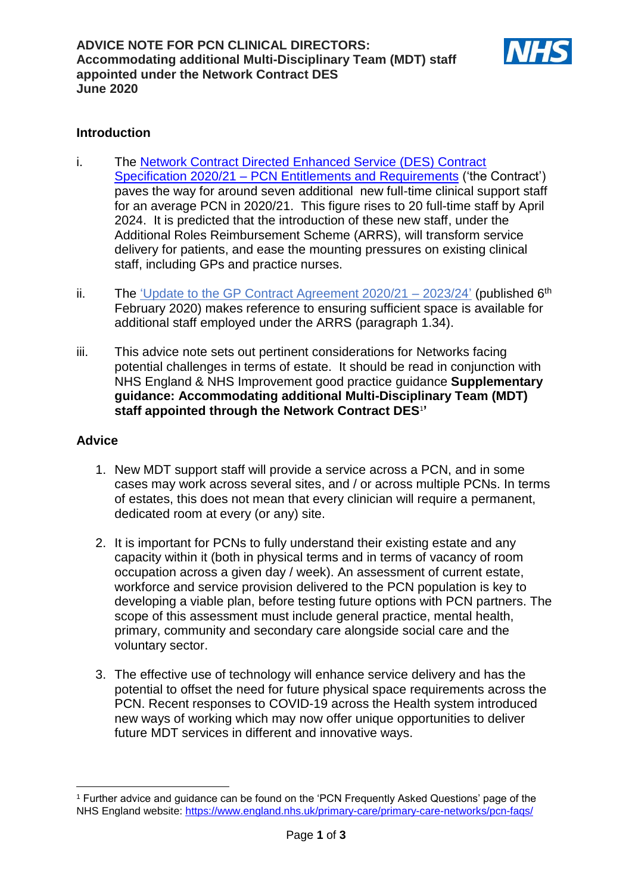

## **Introduction**

- i. The [Network Contract Directed Enhanced Service \(DES\) Contract](https://www.england.nhs.uk/wp-content/uploads/2020/03/network-contract-des-specification-pcn-requirements-entitlements-2020-21.pdf)  Specification 2020/21 – [PCN Entitlements and Requirements](https://www.england.nhs.uk/wp-content/uploads/2020/03/network-contract-des-specification-pcn-requirements-entitlements-2020-21.pdf) ('the Contract') paves the way for around seven additional new full-time clinical support staff for an average PCN in 2020/21. This figure rises to 20 full-time staff by April 2024. It is predicted that the introduction of these new staff, under the Additional Roles Reimbursement Scheme (ARRS), will transform service delivery for patients, and ease the mounting pressures on existing clinical staff, including GPs and practice nurses.
- ii. The 'Update to the GP Contract Agreement  $2020/21 2023/24$ ' (published 6<sup>th</sup>) February 2020) makes reference to ensuring sufficient space is available for additional staff employed under the ARRS (paragraph 1.34).
- iii. This advice note sets out pertinent considerations for Networks facing potential challenges in terms of estate. It should be read in conjunction with NHS England & NHS Improvement good practice guidance **Supplementary guidance: Accommodating additional Multi-Disciplinary Team (MDT) staff appointed through the Network Contract DES**<sup>1</sup> **'**

## **Advice**

- 1. New MDT support staff will provide a service across a PCN, and in some cases may work across several sites, and / or across multiple PCNs. In terms of estates, this does not mean that every clinician will require a permanent, dedicated room at every (or any) site.
- 2. It is important for PCNs to fully understand their existing estate and any capacity within it (both in physical terms and in terms of vacancy of room occupation across a given day / week). An assessment of current estate, workforce and service provision delivered to the PCN population is key to developing a viable plan, before testing future options with PCN partners. The scope of this assessment must include general practice, mental health, primary, community and secondary care alongside social care and the voluntary sector.
- 3. The effective use of technology will enhance service delivery and has the potential to offset the need for future physical space requirements across the PCN. Recent responses to COVID-19 across the Health system introduced new ways of working which may now offer unique opportunities to deliver future MDT services in different and innovative ways.

<sup>1</sup> <sup>1</sup> Further advice and guidance can be found on the 'PCN Frequently Asked Questions' page of the NHS England website:<https://www.england.nhs.uk/primary-care/primary-care-networks/pcn-faqs/>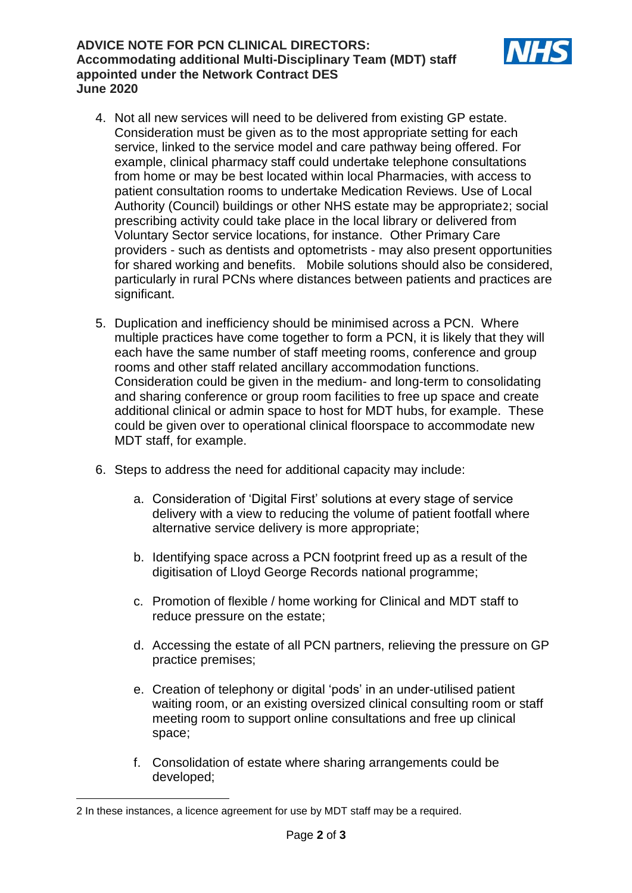## **ADVICE NOTE FOR PCN CLINICAL DIRECTORS: Accommodating additional Multi-Disciplinary Team (MDT) staff appointed under the Network Contract DES June 2020**



- 4. Not all new services will need to be delivered from existing GP estate. Consideration must be given as to the most appropriate setting for each service, linked to the service model and care pathway being offered. For example, clinical pharmacy staff could undertake telephone consultations from home or may be best located within local Pharmacies, with access to patient consultation rooms to undertake Medication Reviews. Use of Local Authority (Council) buildings or other NHS estate may be appropriate2; social prescribing activity could take place in the local library or delivered from Voluntary Sector service locations, for instance. Other Primary Care providers - such as dentists and optometrists - may also present opportunities for shared working and benefits. Mobile solutions should also be considered, particularly in rural PCNs where distances between patients and practices are significant.
- 5. Duplication and inefficiency should be minimised across a PCN. Where multiple practices have come together to form a PCN, it is likely that they will each have the same number of staff meeting rooms, conference and group rooms and other staff related ancillary accommodation functions. Consideration could be given in the medium- and long-term to consolidating and sharing conference or group room facilities to free up space and create additional clinical or admin space to host for MDT hubs, for example. These could be given over to operational clinical floorspace to accommodate new MDT staff, for example.
- 6. Steps to address the need for additional capacity may include:
	- a. Consideration of 'Digital First' solutions at every stage of service delivery with a view to reducing the volume of patient footfall where alternative service delivery is more appropriate;
	- b. Identifying space across a PCN footprint freed up as a result of the digitisation of Lloyd George Records national programme;
	- c. Promotion of flexible / home working for Clinical and MDT staff to reduce pressure on the estate;
	- d. Accessing the estate of all PCN partners, relieving the pressure on GP practice premises;
	- e. Creation of telephony or digital 'pods' in an under-utilised patient waiting room, or an existing oversized clinical consulting room or staff meeting room to support online consultations and free up clinical space;
	- f. Consolidation of estate where sharing arrangements could be developed;

**<sup>.</sup>** 2 In these instances, a licence agreement for use by MDT staff may be a required.